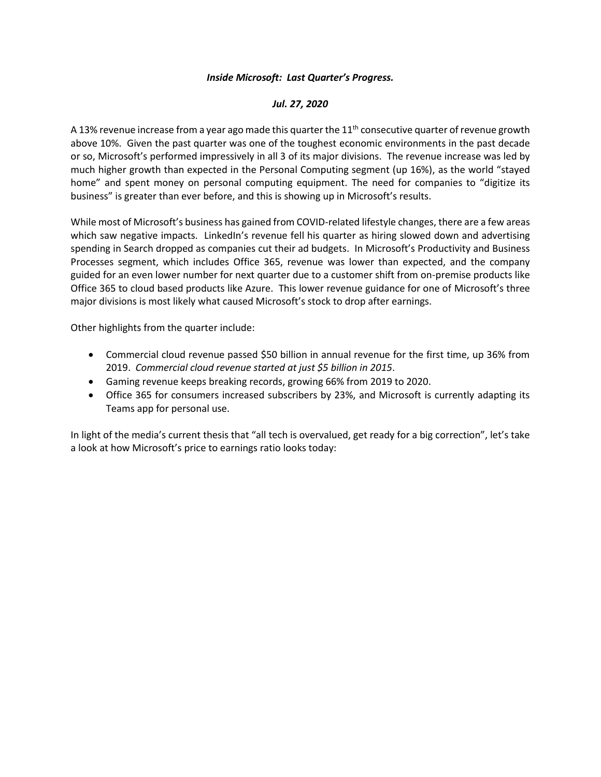## *Inside Microsoft: Last Quarter's Progress.*

## *Jul. 27, 2020*

A 13% revenue increase from a year ago made this quarter the  $11<sup>th</sup>$  consecutive quarter of revenue growth above 10%. Given the past quarter was one of the toughest economic environments in the past decade or so, Microsoft's performed impressively in all 3 of its major divisions. The revenue increase was led by much higher growth than expected in the Personal Computing segment (up 16%), as the world "stayed home" and spent money on personal computing equipment. The need for companies to "digitize its business" is greater than ever before, and this is showing up in Microsoft's results.

While most of Microsoft's business has gained from COVID-related lifestyle changes, there are a few areas which saw negative impacts. LinkedIn's revenue fell his quarter as hiring slowed down and advertising spending in Search dropped as companies cut their ad budgets. In Microsoft's Productivity and Business Processes segment, which includes Office 365, revenue was lower than expected, and the company guided for an even lower number for next quarter due to a customer shift from on-premise products like Office 365 to cloud based products like Azure. This lower revenue guidance for one of Microsoft's three major divisions is most likely what caused Microsoft's stock to drop after earnings.

Other highlights from the quarter include:

- Commercial cloud revenue passed \$50 billion in annual revenue for the first time, up 36% from 2019. *Commercial cloud revenue started at just \$5 billion in 2015*.
- Gaming revenue keeps breaking records, growing 66% from 2019 to 2020.
- Office 365 for consumers increased subscribers by 23%, and Microsoft is currently adapting its Teams app for personal use.

In light of the media's current thesis that "all tech is overvalued, get ready for a big correction", let's take a look at how Microsoft's price to earnings ratio looks today: